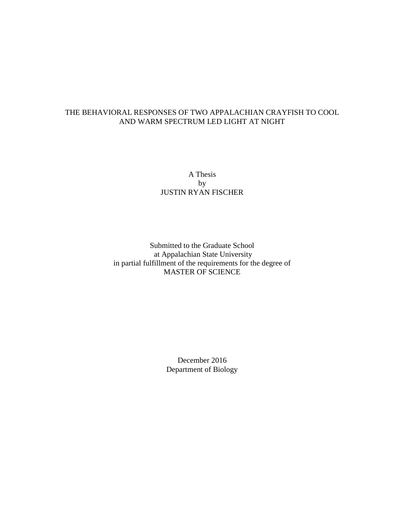# THE BEHAVIORAL RESPONSES OF TWO APPALACHIAN CRAYFISH TO COOL AND WARM SPECTRUM LED LIGHT AT NIGHT

# A Thesis by JUSTIN RYAN FISCHER

# Submitted to the Graduate School at Appalachian State University in partial fulfillment of the requirements for the degree of MASTER OF SCIENCE

December 2016 Department of Biology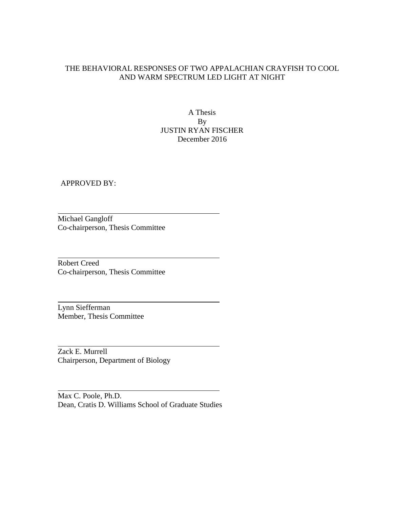# THE BEHAVIORAL RESPONSES OF TWO APPALACHIAN CRAYFISH TO COOL AND WARM SPECTRUM LED LIGHT AT NIGHT

A Thesis By JUSTIN RYAN FISCHER December 2016

APPROVED BY:

Michael Gangloff Co-chairperson, Thesis Committee

Robert Creed Co-chairperson, Thesis Committee

Lynn Siefferman Member, Thesis Committee

Zack E. Murrell Chairperson, Department of Biology

Max C. Poole, Ph.D. Dean, Cratis D. Williams School of Graduate Studies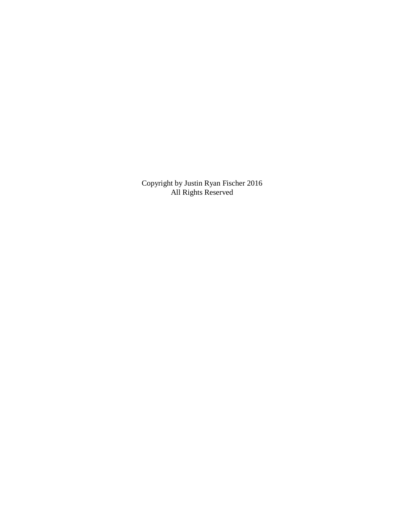Copyright by Justin Ryan Fischer 2016 All Rights Reserved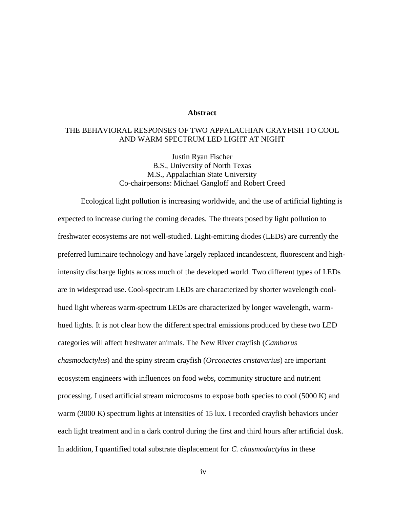# **Abstract**

## THE BEHAVIORAL RESPONSES OF TWO APPALACHIAN CRAYFISH TO COOL AND WARM SPECTRUM LED LIGHT AT NIGHT

Justin Ryan Fischer B.S., University of North Texas M.S., Appalachian State University Co-chairpersons: Michael Gangloff and Robert Creed

Ecological light pollution is increasing worldwide, and the use of artificial lighting is expected to increase during the coming decades. The threats posed by light pollution to freshwater ecosystems are not well-studied. Light-emitting diodes (LEDs) are currently the preferred luminaire technology and have largely replaced incandescent, fluorescent and highintensity discharge lights across much of the developed world. Two different types of LEDs are in widespread use. Cool-spectrum LEDs are characterized by shorter wavelength coolhued light whereas warm-spectrum LEDs are characterized by longer wavelength, warmhued lights. It is not clear how the different spectral emissions produced by these two LED categories will affect freshwater animals. The New River crayfish (*Cambarus chasmodactylus*) and the spiny stream crayfish (*Orconectes cristavarius*) are important ecosystem engineers with influences on food webs, community structure and nutrient processing. I used artificial stream microcosms to expose both species to cool (5000 K) and warm (3000 K) spectrum lights at intensities of 15 lux. I recorded crayfish behaviors under each light treatment and in a dark control during the first and third hours after artificial dusk. In addition, I quantified total substrate displacement for *C. chasmodactylus* in these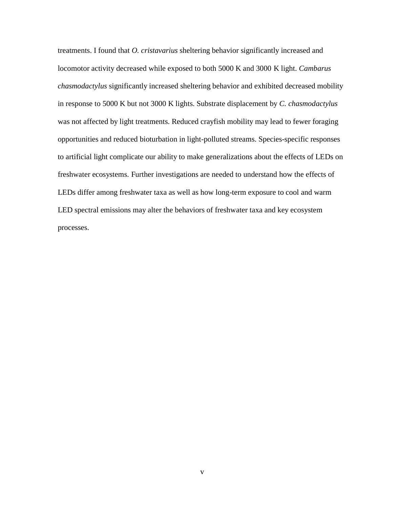treatments. I found that *O. cristavarius* sheltering behavior significantly increased and locomotor activity decreased while exposed to both 5000 K and 3000 K light. *Cambarus chasmodactylus* significantly increased sheltering behavior and exhibited decreased mobility in response to 5000 K but not 3000 K lights. Substrate displacement by *C. chasmodactylus* was not affected by light treatments. Reduced crayfish mobility may lead to fewer foraging opportunities and reduced bioturbation in light-polluted streams. Species-specific responses to artificial light complicate our ability to make generalizations about the effects of LEDs on freshwater ecosystems. Further investigations are needed to understand how the effects of LEDs differ among freshwater taxa as well as how long-term exposure to cool and warm LED spectral emissions may alter the behaviors of freshwater taxa and key ecosystem processes.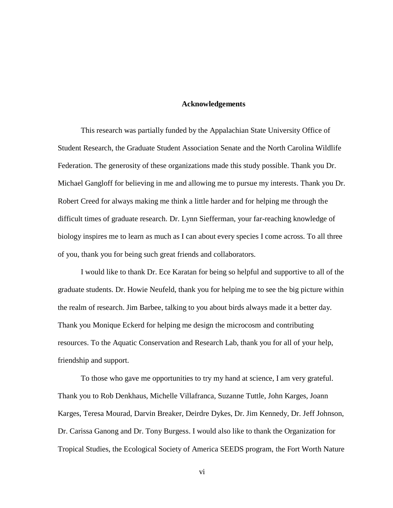## **Acknowledgements**

This research was partially funded by the Appalachian State University Office of Student Research, the Graduate Student Association Senate and the North Carolina Wildlife Federation. The generosity of these organizations made this study possible. Thank you Dr. Michael Gangloff for believing in me and allowing me to pursue my interests. Thank you Dr. Robert Creed for always making me think a little harder and for helping me through the difficult times of graduate research. Dr. Lynn Siefferman, your far-reaching knowledge of biology inspires me to learn as much as I can about every species I come across. To all three of you, thank you for being such great friends and collaborators.

I would like to thank Dr. Ece Karatan for being so helpful and supportive to all of the graduate students. Dr. Howie Neufeld, thank you for helping me to see the big picture within the realm of research. Jim Barbee, talking to you about birds always made it a better day. Thank you Monique Eckerd for helping me design the microcosm and contributing resources. To the Aquatic Conservation and Research Lab, thank you for all of your help, friendship and support.

To those who gave me opportunities to try my hand at science, I am very grateful. Thank you to Rob Denkhaus, Michelle Villafranca, Suzanne Tuttle, John Karges, Joann Karges, Teresa Mourad, Darvin Breaker, Deirdre Dykes, Dr. Jim Kennedy, Dr. Jeff Johnson, Dr. Carissa Ganong and Dr. Tony Burgess. I would also like to thank the Organization for Tropical Studies, the Ecological Society of America SEEDS program, the Fort Worth Nature

vi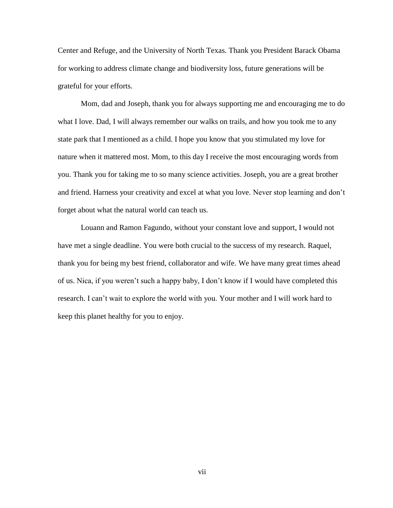Center and Refuge, and the University of North Texas. Thank you President Barack Obama for working to address climate change and biodiversity loss, future generations will be grateful for your efforts.

Mom, dad and Joseph, thank you for always supporting me and encouraging me to do what I love. Dad, I will always remember our walks on trails, and how you took me to any state park that I mentioned as a child. I hope you know that you stimulated my love for nature when it mattered most. Mom, to this day I receive the most encouraging words from you. Thank you for taking me to so many science activities. Joseph, you are a great brother and friend. Harness your creativity and excel at what you love. Never stop learning and don't forget about what the natural world can teach us.

Louann and Ramon Fagundo, without your constant love and support, I would not have met a single deadline. You were both crucial to the success of my research. Raquel, thank you for being my best friend, collaborator and wife. We have many great times ahead of us. Nica, if you weren't such a happy baby, I don't know if I would have completed this research. I can't wait to explore the world with you. Your mother and I will work hard to keep this planet healthy for you to enjoy.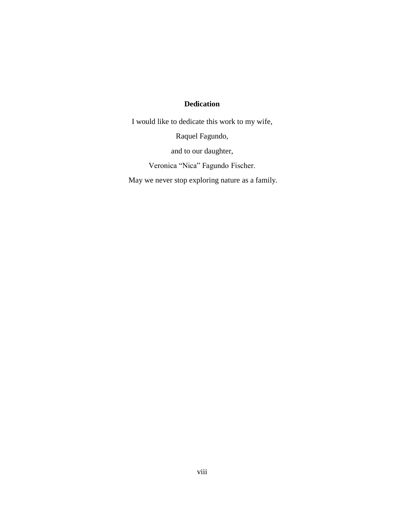# **Dedication**

I would like to dedicate this work to my wife,

Raquel Fagundo,

and to our daughter,

Veronica "Nica" Fagundo Fischer.

May we never stop exploring nature as a family.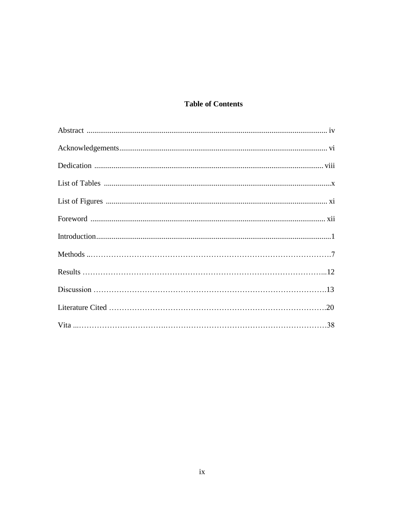# **Table of Contents**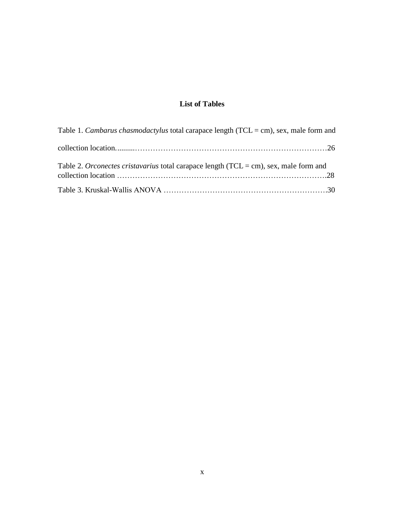# **List of Tables**

| Table 1. Cambarus chasmodactylus total carapace length ( $TCL = cm$ ), sex, male form and |  |
|-------------------------------------------------------------------------------------------|--|
|                                                                                           |  |
| Table 2. Orconectes cristavarius total carapace length $(TCL = cm)$ , sex, male form and  |  |
|                                                                                           |  |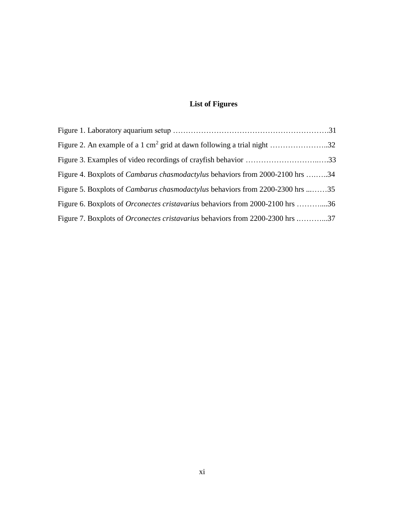# **List of Figures**

| Figure 2. An example of a 1 cm <sup>2</sup> grid at dawn following a trial night 32  |  |
|--------------------------------------------------------------------------------------|--|
|                                                                                      |  |
| Figure 4. Boxplots of <i>Cambarus chasmodactylus</i> behaviors from 2000-2100 hrs 34 |  |
| Figure 5. Boxplots of <i>Cambarus chasmodactylus</i> behaviors from 2200-2300 hrs 35 |  |
| Figure 6. Boxplots of <i>Orconectes cristavarius</i> behaviors from 2000-2100 hrs 36 |  |
| Figure 7. Boxplots of <i>Orconectes cristavarius</i> behaviors from 2200-2300 hrs 37 |  |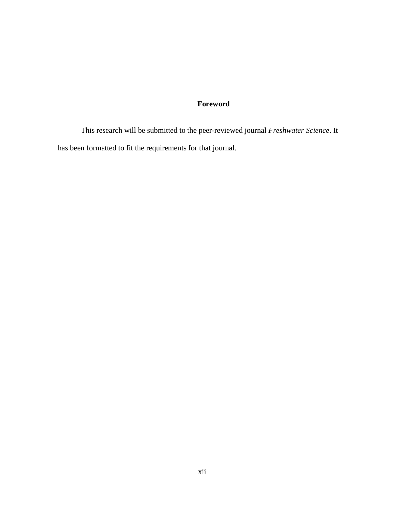# **Foreword**

This research will be submitted to the peer-reviewed journal *Freshwater Science*. It has been formatted to fit the requirements for that journal.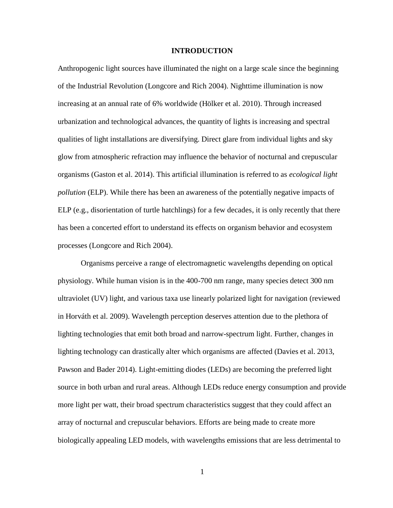#### **INTRODUCTION**

Anthropogenic light sources have illuminated the night on a large scale since the beginning of the Industrial Revolution (Longcore and Rich 2004). Nighttime illumination is now increasing at an annual rate of 6% worldwide (Hölker et al. 2010). Through increased urbanization and technological advances, the quantity of lights is increasing and spectral qualities of light installations are diversifying. Direct glare from individual lights and sky glow from atmospheric refraction may influence the behavior of nocturnal and crepuscular organisms (Gaston et al. 2014). This artificial illumination is referred to as *ecological light pollution* (ELP). While there has been an awareness of the potentially negative impacts of ELP (e.g., disorientation of turtle hatchlings) for a few decades, it is only recently that there has been a concerted effort to understand its effects on organism behavior and ecosystem processes (Longcore and Rich 2004).

Organisms perceive a range of electromagnetic wavelengths depending on optical physiology. While human vision is in the 400-700 nm range, many species detect 300 nm ultraviolet (UV) light, and various taxa use linearly polarized light for navigation (reviewed in Horváth et al. 2009). Wavelength perception deserves attention due to the plethora of lighting technologies that emit both broad and narrow-spectrum light. Further, changes in lighting technology can drastically alter which organisms are affected (Davies et al. 2013, Pawson and Bader 2014). Light-emitting diodes (LEDs) are becoming the preferred light source in both urban and rural areas. Although LEDs reduce energy consumption and provide more light per watt, their broad spectrum characteristics suggest that they could affect an array of nocturnal and crepuscular behaviors. Efforts are being made to create more biologically appealing LED models, with wavelengths emissions that are less detrimental to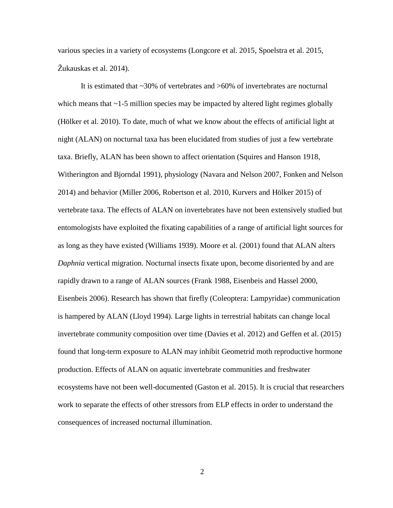various species in a variety of ecosystems (Longcore et al. 2015, Spoelstra et al. 2015, Žukauskas et al. 2014).

It is estimated that ~30% of vertebrates and >60% of invertebrates are nocturnal which means that  $\sim$  1-5 million species may be impacted by altered light regimes globally (Hölker et al. 2010). To date, much of what we know about the effects of artificial light at night (ALAN) on nocturnal taxa has been elucidated from studies of just a few vertebrate taxa. Briefly, ALAN has been shown to affect orientation (Squires and Hanson 1918, Witherington and Bjorndal 1991), physiology (Navara and Nelson 2007, Fonken and Nelson 2014) and behavior (Miller 2006, Robertson et al. 2010, Kurvers and Hölker 2015) of vertebrate taxa. The effects of ALAN on invertebrates have not been extensively studied but entomologists have exploited the fixating capabilities of a range of artificial light sources for as long as they have existed (Williams 1939). Moore et al. (2001) found that ALAN alters *Daphnia* vertical migration. Nocturnal insects fixate upon, become disoriented by and are rapidly drawn to a range of ALAN sources (Frank 1988, Eisenbeis and Hassel 2000, Eisenbeis 2006). Research has shown that firefly (Coleoptera: Lampyridae) communication is hampered by ALAN (Lloyd 1994). Large lights in terrestrial habitats can change local invertebrate community composition over time (Davies et al. 2012) and Geffen et al. (2015) found that long-term exposure to ALAN may inhibit Geometrid moth reproductive hormone production. Effects of ALAN on aquatic invertebrate communities and freshwater ecosystems have not been well-documented (Gaston et al. 2015). It is crucial that researchers work to separate the effects of other stressors from ELP effects in order to understand the consequences of increased nocturnal illumination.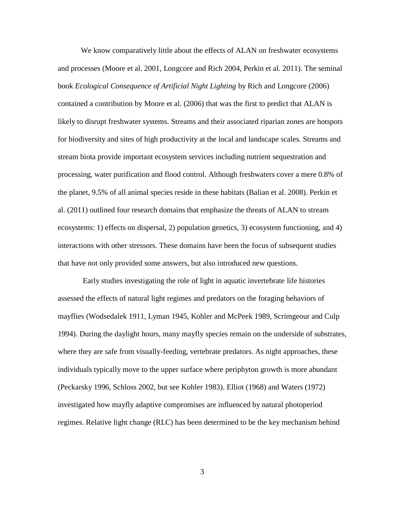We know comparatively little about the effects of ALAN on freshwater ecosystems and processes (Moore et al. 2001, Longcore and Rich 2004, Perkin et al. 2011). The seminal book *Ecological Consequence of Artificial Night Lighting* by Rich and Longcore (2006) contained a contribution by Moore et al. (2006) that was the first to predict that ALAN is likely to disrupt freshwater systems. Streams and their associated riparian zones are hotspots for biodiversity and sites of high productivity at the local and landscape scales. Streams and stream biota provide important ecosystem services including nutrient sequestration and processing, water purification and flood control. Although freshwaters cover a mere 0.8% of the planet, 9.5% of all animal species reside in these habitats (Balian et al. 2008). Perkin et al. (2011) outlined four research domains that emphasize the threats of ALAN to stream ecosystems: 1) effects on dispersal, 2) population genetics, 3) ecosystem functioning, and 4) interactions with other stressors. These domains have been the focus of subsequent studies that have not only provided some answers, but also introduced new questions.

Early studies investigating the role of light in aquatic invertebrate life histories assessed the effects of natural light regimes and predators on the foraging behaviors of mayflies (Wodsedalek 1911, Lyman 1945, Kohler and McPeek 1989, Scrimgeour and Culp 1994). During the daylight hours, many mayfly species remain on the underside of substrates, where they are safe from visually-feeding, vertebrate predators. As night approaches, these individuals typically move to the upper surface where periphyton growth is more abundant (Peckarsky 1996, Schloss 2002, but see Kohler 1983). Elliot (1968) and Waters (1972) investigated how mayfly adaptive compromises are influenced by natural photoperiod regimes. Relative light change (RLC) has been determined to be the key mechanism behind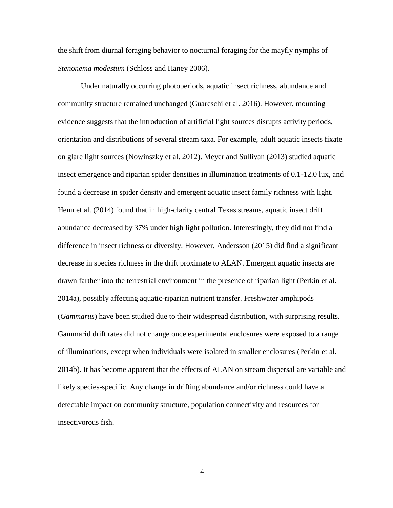the shift from diurnal foraging behavior to nocturnal foraging for the mayfly nymphs of *Stenonema modestum* (Schloss and Haney 2006).

Under naturally occurring photoperiods, aquatic insect richness, abundance and community structure remained unchanged (Guareschi et al. 2016). However, mounting evidence suggests that the introduction of artificial light sources disrupts activity periods, orientation and distributions of several stream taxa. For example, adult aquatic insects fixate on glare light sources (Nowinszky et al. 2012). Meyer and Sullivan (2013) studied aquatic insect emergence and riparian spider densities in illumination treatments of 0.1-12.0 lux, and found a decrease in spider density and emergent aquatic insect family richness with light. Henn et al. (2014) found that in high-clarity central Texas streams, aquatic insect drift abundance decreased by 37% under high light pollution. Interestingly, they did not find a difference in insect richness or diversity. However, Andersson (2015) did find a significant decrease in species richness in the drift proximate to ALAN. Emergent aquatic insects are drawn farther into the terrestrial environment in the presence of riparian light (Perkin et al. 2014a), possibly affecting aquatic-riparian nutrient transfer. Freshwater amphipods (*Gammarus*) have been studied due to their widespread distribution, with surprising results. Gammarid drift rates did not change once experimental enclosures were exposed to a range of illuminations, except when individuals were isolated in smaller enclosures (Perkin et al. 2014b). It has become apparent that the effects of ALAN on stream dispersal are variable and likely species-specific. Any change in drifting abundance and/or richness could have a detectable impact on community structure, population connectivity and resources for insectivorous fish.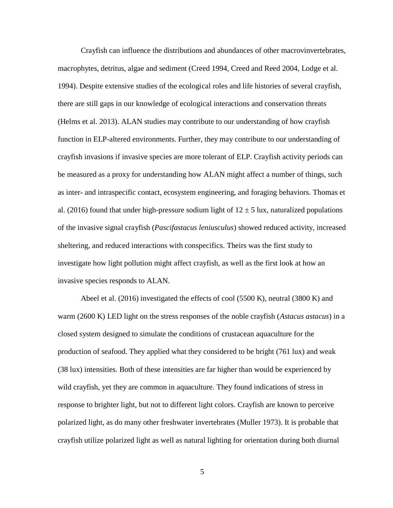Crayfish can influence the distributions and abundances of other macrovinvertebrates, macrophytes, detritus, algae and sediment (Creed 1994, Creed and Reed 2004, Lodge et al. 1994). Despite extensive studies of the ecological roles and life histories of several crayfish, there are still gaps in our knowledge of ecological interactions and conservation threats (Helms et al. 2013). ALAN studies may contribute to our understanding of how crayfish function in ELP-altered environments. Further, they may contribute to our understanding of crayfish invasions if invasive species are more tolerant of ELP. Crayfish activity periods can be measured as a proxy for understanding how ALAN might affect a number of things, such as inter- and intraspecific contact, ecosystem engineering, and foraging behaviors. Thomas et al. (2016) found that under high-pressure sodium light of  $12 \pm 5$  lux, naturalized populations of the invasive signal crayfish (*Pascifastacus leniusculus*) showed reduced activity, increased sheltering, and reduced interactions with conspecifics. Theirs was the first study to investigate how light pollution might affect crayfish, as well as the first look at how an invasive species responds to ALAN.

Abeel et al. (2016) investigated the effects of cool (5500 K), neutral (3800 K) and warm (2600 K) LED light on the stress responses of the noble crayfish (*Astacus astacus*) in a closed system designed to simulate the conditions of crustacean aquaculture for the production of seafood. They applied what they considered to be bright (761 lux) and weak (38 lux) intensities. Both of these intensities are far higher than would be experienced by wild crayfish, yet they are common in aquaculture. They found indications of stress in response to brighter light, but not to different light colors. Crayfish are known to perceive polarized light, as do many other freshwater invertebrates (Muller 1973). It is probable that crayfish utilize polarized light as well as natural lighting for orientation during both diurnal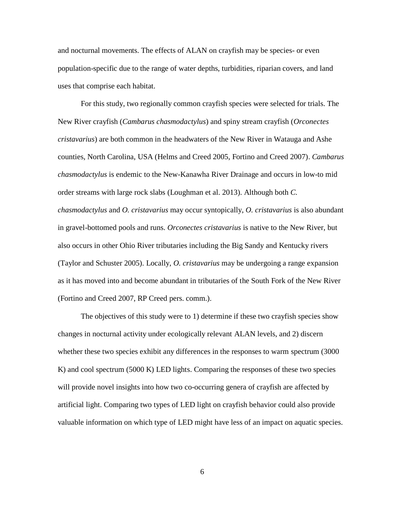and nocturnal movements. The effects of ALAN on crayfish may be species- or even population-specific due to the range of water depths, turbidities, riparian covers, and land uses that comprise each habitat.

For this study, two regionally common crayfish species were selected for trials. The New River crayfish (*Cambarus chasmodactylus*) and spiny stream crayfish (*Orconectes cristavarius*) are both common in the headwaters of the New River in Watauga and Ashe counties, North Carolina, USA (Helms and Creed 2005, Fortino and Creed 2007). *Cambarus chasmodactylus* is endemic to the New-Kanawha River Drainage and occurs in low-to mid order streams with large rock slabs (Loughman et al. 2013). Although both *C. chasmodactylus* and *O. cristavarius* may occur syntopically, *O. cristavarius* is also abundant in gravel-bottomed pools and runs. *Orconectes cristavarius* is native to the New River, but also occurs in other Ohio River tributaries including the Big Sandy and Kentucky rivers (Taylor and Schuster 2005). Locally, *O. cristavarius* may be undergoing a range expansion as it has moved into and become abundant in tributaries of the South Fork of the New River (Fortino and Creed 2007, RP Creed pers. comm.).

The objectives of this study were to 1) determine if these two crayfish species show changes in nocturnal activity under ecologically relevant ALAN levels, and 2) discern whether these two species exhibit any differences in the responses to warm spectrum (3000 K) and cool spectrum (5000 K) LED lights. Comparing the responses of these two species will provide novel insights into how two co-occurring genera of crayfish are affected by artificial light. Comparing two types of LED light on crayfish behavior could also provide valuable information on which type of LED might have less of an impact on aquatic species.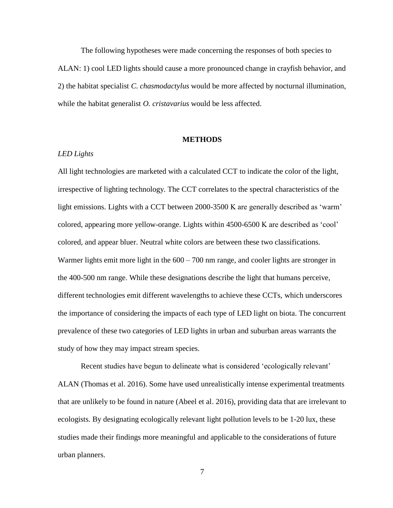The following hypotheses were made concerning the responses of both species to ALAN: 1) cool LED lights should cause a more pronounced change in crayfish behavior, and 2) the habitat specialist *C. chasmodactylus* would be more affected by nocturnal illumination, while the habitat generalist *O. cristavarius* would be less affected.

#### **METHODS**

# *LED Lights*

All light technologies are marketed with a calculated CCT to indicate the color of the light, irrespective of lighting technology. The CCT correlates to the spectral characteristics of the light emissions. Lights with a CCT between 2000-3500 K are generally described as 'warm' colored, appearing more yellow-orange. Lights within 4500-6500 K are described as 'cool' colored, and appear bluer. Neutral white colors are between these two classifications. Warmer lights emit more light in the  $600 - 700$  nm range, and cooler lights are stronger in the 400-500 nm range. While these designations describe the light that humans perceive, different technologies emit different wavelengths to achieve these CCTs, which underscores the importance of considering the impacts of each type of LED light on biota. The concurrent prevalence of these two categories of LED lights in urban and suburban areas warrants the study of how they may impact stream species.

Recent studies have begun to delineate what is considered 'ecologically relevant' ALAN (Thomas et al. 2016). Some have used unrealistically intense experimental treatments that are unlikely to be found in nature (Abeel et al. 2016), providing data that are irrelevant to ecologists. By designating ecologically relevant light pollution levels to be 1-20 lux, these studies made their findings more meaningful and applicable to the considerations of future urban planners.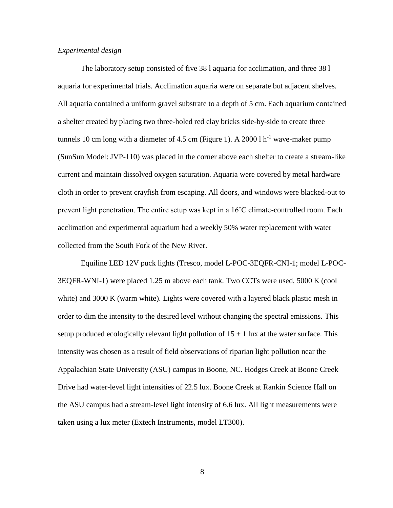### *Experimental design*

The laboratory setup consisted of five 38 l aquaria for acclimation, and three 38 l aquaria for experimental trials. Acclimation aquaria were on separate but adjacent shelves. All aquaria contained a uniform gravel substrate to a depth of 5 cm. Each aquarium contained a shelter created by placing two three-holed red clay bricks side-by-side to create three tunnels 10 cm long with a diameter of 4.5 cm (Figure 1). A 2000 l  $h^{-1}$  wave-maker pump (SunSun Model: JVP-110) was placed in the corner above each shelter to create a stream-like current and maintain dissolved oxygen saturation. Aquaria were covered by metal hardware cloth in order to prevent crayfish from escaping. All doors, and windows were blacked-out to prevent light penetration. The entire setup was kept in a 16˚C climate-controlled room. Each acclimation and experimental aquarium had a weekly 50% water replacement with water collected from the South Fork of the New River.

Equiline LED 12V puck lights (Tresco, model L-POC-3EQFR-CNI-1; model L-POC-3EQFR-WNI-1) were placed 1.25 m above each tank. Two CCTs were used, 5000 K (cool white) and 3000 K (warm white). Lights were covered with a layered black plastic mesh in order to dim the intensity to the desired level without changing the spectral emissions. This setup produced ecologically relevant light pollution of  $15 \pm 1$  lux at the water surface. This intensity was chosen as a result of field observations of riparian light pollution near the Appalachian State University (ASU) campus in Boone, NC. Hodges Creek at Boone Creek Drive had water-level light intensities of 22.5 lux. Boone Creek at Rankin Science Hall on the ASU campus had a stream-level light intensity of 6.6 lux. All light measurements were taken using a lux meter (Extech Instruments, model LT300).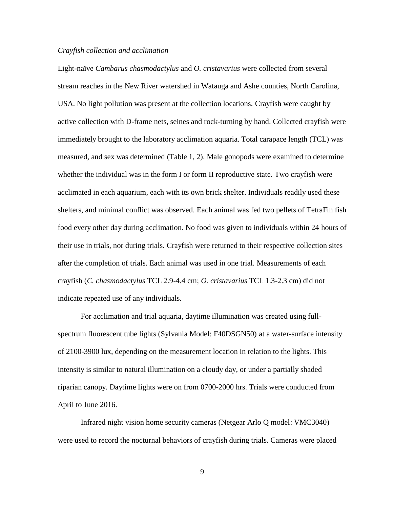#### *Crayfish collection and acclimation*

Light-naïve *Cambarus chasmodactylus* and *O. cristavarius* were collected from several stream reaches in the New River watershed in Watauga and Ashe counties, North Carolina, USA. No light pollution was present at the collection locations. Crayfish were caught by active collection with D-frame nets, seines and rock-turning by hand. Collected crayfish were immediately brought to the laboratory acclimation aquaria. Total carapace length (TCL) was measured, and sex was determined (Table 1, 2). Male gonopods were examined to determine whether the individual was in the form I or form II reproductive state. Two crayfish were acclimated in each aquarium, each with its own brick shelter. Individuals readily used these shelters, and minimal conflict was observed. Each animal was fed two pellets of TetraFin fish food every other day during acclimation. No food was given to individuals within 24 hours of their use in trials, nor during trials. Crayfish were returned to their respective collection sites after the completion of trials. Each animal was used in one trial. Measurements of each crayfish (*C. chasmodactylus* TCL 2.9-4.4 cm; *O. cristavarius* TCL 1.3-2.3 cm) did not indicate repeated use of any individuals.

For acclimation and trial aquaria, daytime illumination was created using fullspectrum fluorescent tube lights (Sylvania Model: F40DSGN50) at a water-surface intensity of 2100-3900 lux, depending on the measurement location in relation to the lights. This intensity is similar to natural illumination on a cloudy day, or under a partially shaded riparian canopy. Daytime lights were on from 0700-2000 hrs. Trials were conducted from April to June 2016.

Infrared night vision home security cameras (Netgear Arlo Q model: VMC3040) were used to record the nocturnal behaviors of crayfish during trials. Cameras were placed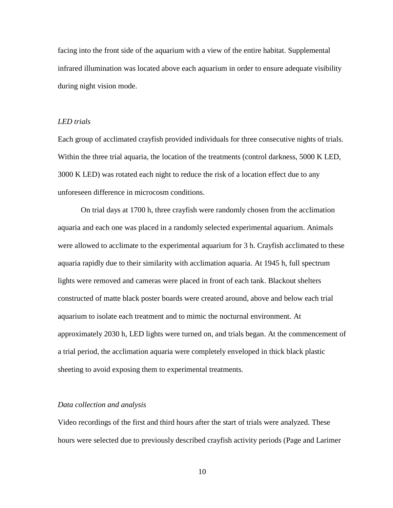facing into the front side of the aquarium with a view of the entire habitat. Supplemental infrared illumination was located above each aquarium in order to ensure adequate visibility during night vision mode.

### *LED trials*

Each group of acclimated crayfish provided individuals for three consecutive nights of trials. Within the three trial aquaria, the location of the treatments (control darkness, 5000 K LED, 3000 K LED) was rotated each night to reduce the risk of a location effect due to any unforeseen difference in microcosm conditions.

On trial days at 1700 h, three crayfish were randomly chosen from the acclimation aquaria and each one was placed in a randomly selected experimental aquarium. Animals were allowed to acclimate to the experimental aquarium for 3 h. Crayfish acclimated to these aquaria rapidly due to their similarity with acclimation aquaria. At 1945 h, full spectrum lights were removed and cameras were placed in front of each tank. Blackout shelters constructed of matte black poster boards were created around, above and below each trial aquarium to isolate each treatment and to mimic the nocturnal environment. At approximately 2030 h, LED lights were turned on, and trials began. At the commencement of a trial period, the acclimation aquaria were completely enveloped in thick black plastic sheeting to avoid exposing them to experimental treatments.

## *Data collection and analysis*

Video recordings of the first and third hours after the start of trials were analyzed. These hours were selected due to previously described crayfish activity periods (Page and Larimer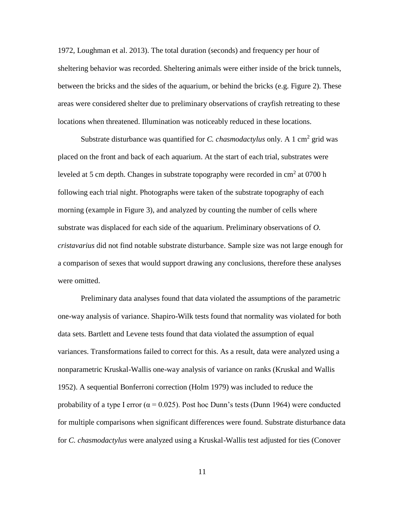1972, Loughman et al. 2013). The total duration (seconds) and frequency per hour of sheltering behavior was recorded. Sheltering animals were either inside of the brick tunnels, between the bricks and the sides of the aquarium, or behind the bricks (e.g. Figure 2). These areas were considered shelter due to preliminary observations of crayfish retreating to these locations when threatened. Illumination was noticeably reduced in these locations.

Substrate disturbance was quantified for *C. chasmodactylus* only. A 1 cm<sup>2</sup> grid was placed on the front and back of each aquarium. At the start of each trial, substrates were leveled at 5 cm depth. Changes in substrate topography were recorded in  $cm<sup>2</sup>$  at 0700 h following each trial night. Photographs were taken of the substrate topography of each morning (example in Figure 3), and analyzed by counting the number of cells where substrate was displaced for each side of the aquarium. Preliminary observations of *O. cristavarius* did not find notable substrate disturbance. Sample size was not large enough for a comparison of sexes that would support drawing any conclusions, therefore these analyses were omitted.

Preliminary data analyses found that data violated the assumptions of the parametric one-way analysis of variance. Shapiro-Wilk tests found that normality was violated for both data sets. Bartlett and Levene tests found that data violated the assumption of equal variances. Transformations failed to correct for this. As a result, data were analyzed using a nonparametric Kruskal-Wallis one-way analysis of variance on ranks (Kruskal and Wallis 1952). A sequential Bonferroni correction (Holm 1979) was included to reduce the probability of a type I error ( $\alpha$  = 0.025). Post hoc Dunn's tests (Dunn 1964) were conducted for multiple comparisons when significant differences were found. Substrate disturbance data for *C. chasmodactylus* were analyzed using a Kruskal-Wallis test adjusted for ties (Conover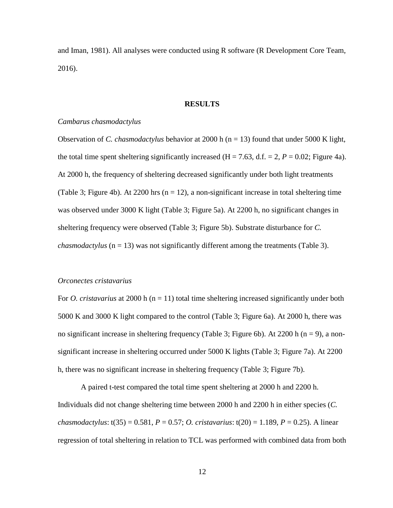and Iman, 1981). All analyses were conducted using R software (R Development Core Team, 2016).

#### **RESULTS**

#### *Cambarus chasmodactylus*

Observation of *C. chasmodactylus* behavior at 2000 h (n = 13) found that under 5000 K light, the total time spent sheltering significantly increased ( $H = 7.63$ , d.f.  $= 2$ ,  $P = 0.02$ ; Figure 4a). At 2000 h, the frequency of sheltering decreased significantly under both light treatments (Table 3; Figure 4b). At 2200 hrs  $(n = 12)$ , a non-significant increase in total sheltering time was observed under 3000 K light (Table 3; Figure 5a). At 2200 h, no significant changes in sheltering frequency were observed (Table 3; Figure 5b). Substrate disturbance for *C. chasmodactylus* ( $n = 13$ ) was not significantly different among the treatments (Table 3).

#### *Orconectes cristavarius*

For *O. cristavarius* at 2000 h (n = 11) total time sheltering increased significantly under both 5000 K and 3000 K light compared to the control (Table 3; Figure 6a). At 2000 h, there was no significant increase in sheltering frequency (Table 3; Figure 6b). At 2200 h ( $n = 9$ ), a nonsignificant increase in sheltering occurred under 5000 K lights (Table 3; Figure 7a). At 2200 h, there was no significant increase in sheltering frequency (Table 3; Figure 7b).

A paired t-test compared the total time spent sheltering at 2000 h and 2200 h. Individuals did not change sheltering time between 2000 h and 2200 h in either species (*C. chasmodactylus*: t(35) = 0.581, *P* = 0.57; *O. cristavarius*: t(20) = 1.189, *P* = 0.25). A linear regression of total sheltering in relation to TCL was performed with combined data from both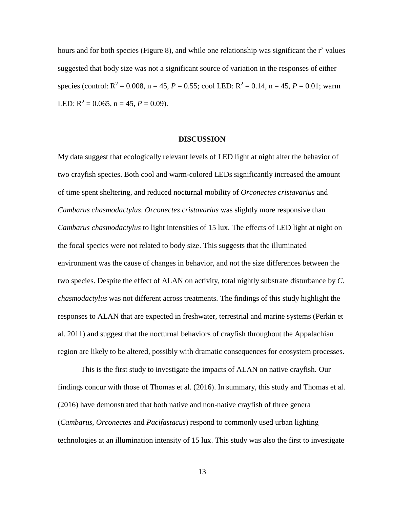hours and for both species (Figure 8), and while one relationship was significant the  $r^2$  values suggested that body size was not a significant source of variation in the responses of either species (control:  $R^2 = 0.008$ ,  $n = 45$ ,  $P = 0.55$ ; cool LED:  $R^2 = 0.14$ ,  $n = 45$ ,  $P = 0.01$ ; warm LED:  $R^2 = 0.065$ ,  $n = 45$ ,  $P = 0.09$ ).

### **DISCUSSION**

My data suggest that ecologically relevant levels of LED light at night alter the behavior of two crayfish species. Both cool and warm-colored LEDs significantly increased the amount of time spent sheltering, and reduced nocturnal mobility of *Orconectes cristavarius* and *Cambarus chasmodactylus*. *Orconectes cristavarius* was slightly more responsive than *Cambarus chasmodactylus* to light intensities of 15 lux. The effects of LED light at night on the focal species were not related to body size. This suggests that the illuminated environment was the cause of changes in behavior, and not the size differences between the two species. Despite the effect of ALAN on activity, total nightly substrate disturbance by *C*. *chasmodactylus* was not different across treatments. The findings of this study highlight the responses to ALAN that are expected in freshwater, terrestrial and marine systems (Perkin et al. 2011) and suggest that the nocturnal behaviors of crayfish throughout the Appalachian region are likely to be altered, possibly with dramatic consequences for ecosystem processes.

This is the first study to investigate the impacts of ALAN on native crayfish. Our findings concur with those of Thomas et al. (2016). In summary, this study and Thomas et al. (2016) have demonstrated that both native and non-native crayfish of three genera (*Cambarus*, *Orconectes* and *Pacifastacus*) respond to commonly used urban lighting technologies at an illumination intensity of 15 lux. This study was also the first to investigate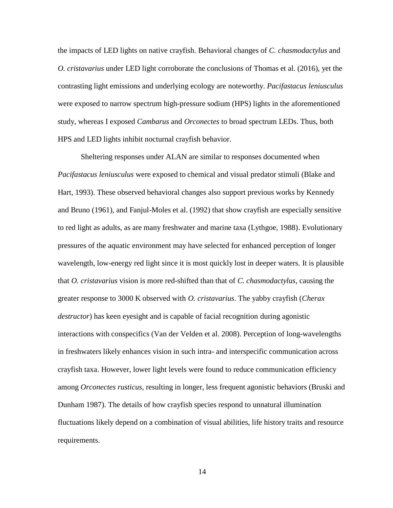the impacts of LED lights on native crayfish. Behavioral changes of *C. chasmodactylus* and *O. cristavarius* under LED light corroborate the conclusions of Thomas et al. (2016), yet the contrasting light emissions and underlying ecology are noteworthy. *Pacifastacus leniusculus* were exposed to narrow spectrum high-pressure sodium (HPS) lights in the aforementioned study, whereas I exposed *Cambarus* and *Orconectes* to broad spectrum LEDs. Thus, both HPS and LED lights inhibit nocturnal crayfish behavior.

Sheltering responses under ALAN are similar to responses documented when *Pacifastacus leniusculus* were exposed to chemical and visual predator stimuli (Blake and Hart, 1993). These observed behavioral changes also support previous works by Kennedy and Bruno (1961), and Fanjul-Moles et al. (1992) that show crayfish are especially sensitive to red light as adults, as are many freshwater and marine taxa (Lythgoe, 1988). Evolutionary pressures of the aquatic environment may have selected for enhanced perception of longer wavelength, low-energy red light since it is most quickly lost in deeper waters. It is plausible that *O. cristavarius* vision is more red-shifted than that of *C. chasmodactylus*, causing the greater response to 3000 K observed with *O. cristavarius*. The yabby crayfish (*Cherax destructor*) has keen eyesight and is capable of facial recognition during agonistic interactions with conspecifics (Van der Velden et al. 2008). Perception of long-wavelengths in freshwaters likely enhances vision in such intra- and interspecific communication across crayfish taxa. However, lower light levels were found to reduce communication efficiency among *Orconectes rusticus*, resulting in longer, less frequent agonistic behaviors (Bruski and Dunham 1987). The details of how crayfish species respond to unnatural illumination fluctuations likely depend on a combination of visual abilities, life history traits and resource requirements.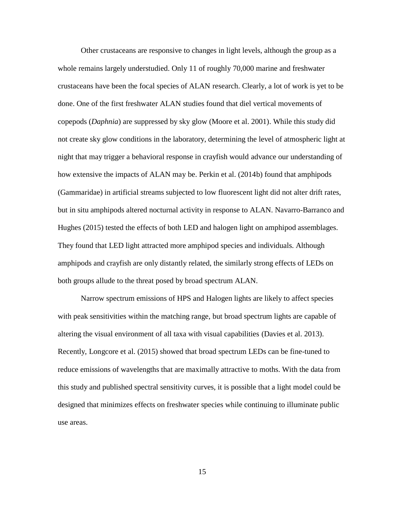Other crustaceans are responsive to changes in light levels, although the group as a whole remains largely understudied. Only 11 of roughly 70,000 marine and freshwater crustaceans have been the focal species of ALAN research. Clearly, a lot of work is yet to be done. One of the first freshwater ALAN studies found that diel vertical movements of copepods (*Daphnia*) are suppressed by sky glow (Moore et al. 2001). While this study did not create sky glow conditions in the laboratory, determining the level of atmospheric light at night that may trigger a behavioral response in crayfish would advance our understanding of how extensive the impacts of ALAN may be. Perkin et al. (2014b) found that amphipods (Gammaridae) in artificial streams subjected to low fluorescent light did not alter drift rates, but in situ amphipods altered nocturnal activity in response to ALAN. Navarro-Barranco and Hughes (2015) tested the effects of both LED and halogen light on amphipod assemblages. They found that LED light attracted more amphipod species and individuals. Although amphipods and crayfish are only distantly related, the similarly strong effects of LEDs on both groups allude to the threat posed by broad spectrum ALAN.

Narrow spectrum emissions of HPS and Halogen lights are likely to affect species with peak sensitivities within the matching range, but broad spectrum lights are capable of altering the visual environment of all taxa with visual capabilities (Davies et al. 2013). Recently, Longcore et al. (2015) showed that broad spectrum LEDs can be fine-tuned to reduce emissions of wavelengths that are maximally attractive to moths. With the data from this study and published spectral sensitivity curves, it is possible that a light model could be designed that minimizes effects on freshwater species while continuing to illuminate public use areas.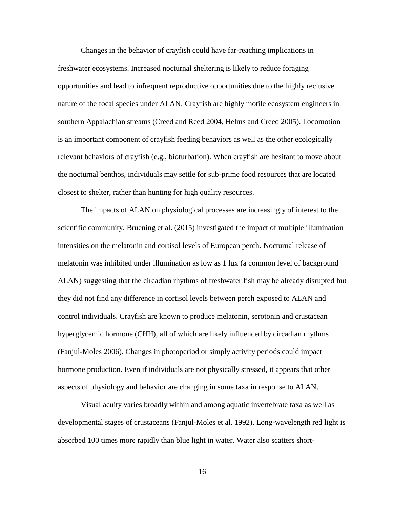Changes in the behavior of crayfish could have far-reaching implications in freshwater ecosystems. Increased nocturnal sheltering is likely to reduce foraging opportunities and lead to infrequent reproductive opportunities due to the highly reclusive nature of the focal species under ALAN. Crayfish are highly motile ecosystem engineers in southern Appalachian streams (Creed and Reed 2004, Helms and Creed 2005). Locomotion is an important component of crayfish feeding behaviors as well as the other ecologically relevant behaviors of crayfish (e.g., bioturbation). When crayfish are hesitant to move about the nocturnal benthos, individuals may settle for sub-prime food resources that are located closest to shelter, rather than hunting for high quality resources.

The impacts of ALAN on physiological processes are increasingly of interest to the scientific community. Bruening et al. (2015) investigated the impact of multiple illumination intensities on the melatonin and cortisol levels of European perch. Nocturnal release of melatonin was inhibited under illumination as low as 1 lux (a common level of background ALAN) suggesting that the circadian rhythms of freshwater fish may be already disrupted but they did not find any difference in cortisol levels between perch exposed to ALAN and control individuals. Crayfish are known to produce melatonin, serotonin and crustacean hyperglycemic hormone (CHH), all of which are likely influenced by circadian rhythms (Fanjul-Moles 2006). Changes in photoperiod or simply activity periods could impact hormone production. Even if individuals are not physically stressed, it appears that other aspects of physiology and behavior are changing in some taxa in response to ALAN.

Visual acuity varies broadly within and among aquatic invertebrate taxa as well as developmental stages of crustaceans (Fanjul-Moles et al. 1992). Long-wavelength red light is absorbed 100 times more rapidly than blue light in water. Water also scatters short-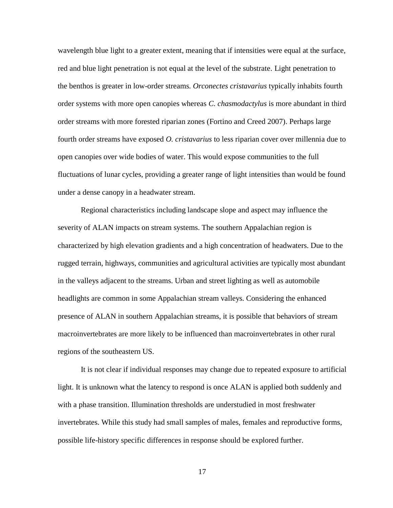wavelength blue light to a greater extent, meaning that if intensities were equal at the surface, red and blue light penetration is not equal at the level of the substrate. Light penetration to the benthos is greater in low-order streams. *Orconectes cristavarius* typically inhabits fourth order systems with more open canopies whereas *C. chasmodactylus* is more abundant in third order streams with more forested riparian zones (Fortino and Creed 2007). Perhaps large fourth order streams have exposed *O. cristavarius* to less riparian cover over millennia due to open canopies over wide bodies of water. This would expose communities to the full fluctuations of lunar cycles, providing a greater range of light intensities than would be found under a dense canopy in a headwater stream.

Regional characteristics including landscape slope and aspect may influence the severity of ALAN impacts on stream systems. The southern Appalachian region is characterized by high elevation gradients and a high concentration of headwaters. Due to the rugged terrain, highways, communities and agricultural activities are typically most abundant in the valleys adjacent to the streams. Urban and street lighting as well as automobile headlights are common in some Appalachian stream valleys. Considering the enhanced presence of ALAN in southern Appalachian streams, it is possible that behaviors of stream macroinvertebrates are more likely to be influenced than macroinvertebrates in other rural regions of the southeastern US.

It is not clear if individual responses may change due to repeated exposure to artificial light. It is unknown what the latency to respond is once ALAN is applied both suddenly and with a phase transition. Illumination thresholds are understudied in most freshwater invertebrates. While this study had small samples of males, females and reproductive forms, possible life-history specific differences in response should be explored further.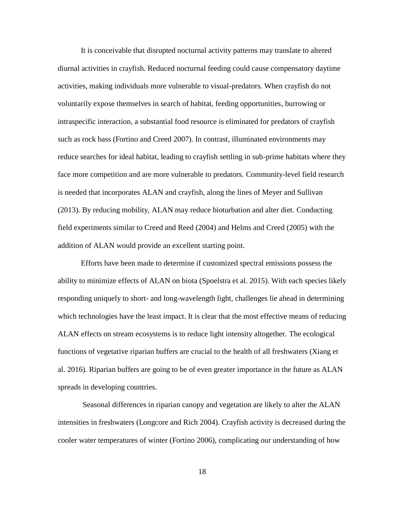It is conceivable that disrupted nocturnal activity patterns may translate to altered diurnal activities in crayfish. Reduced nocturnal feeding could cause compensatory daytime activities, making individuals more vulnerable to visual-predators. When crayfish do not voluntarily expose themselves in search of habitat, feeding opportunities, burrowing or intraspecific interaction, a substantial food resource is eliminated for predators of crayfish such as rock bass (Fortino and Creed 2007). In contrast, illuminated environments may reduce searches for ideal habitat, leading to crayfish settling in sub-prime habitats where they face more competition and are more vulnerable to predators. Community-level field research is needed that incorporates ALAN and crayfish, along the lines of Meyer and Sullivan (2013). By reducing mobility, ALAN may reduce bioturbation and alter diet. Conducting field experiments similar to Creed and Reed (2004) and Helms and Creed (2005) with the addition of ALAN would provide an excellent starting point.

Efforts have been made to determine if customized spectral emissions possess the ability to minimize effects of ALAN on biota (Spoelstra et al. 2015). With each species likely responding uniquely to short- and long-wavelength light, challenges lie ahead in determining which technologies have the least impact. It is clear that the most effective means of reducing ALAN effects on stream ecosystems is to reduce light intensity altogether. The ecological functions of vegetative riparian buffers are crucial to the health of all freshwaters (Xiang et al. 2016). Riparian buffers are going to be of even greater importance in the future as ALAN spreads in developing countries.

Seasonal differences in riparian canopy and vegetation are likely to alter the ALAN intensities in freshwaters (Longcore and Rich 2004). Crayfish activity is decreased during the cooler water temperatures of winter (Fortino 2006), complicating our understanding of how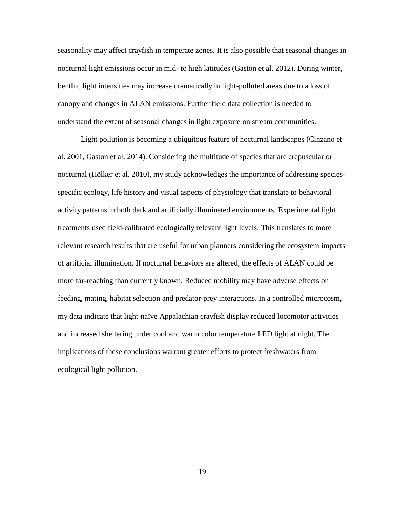seasonality may affect crayfish in temperate zones. It is also possible that seasonal changes in nocturnal light emissions occur in mid- to high latitudes (Gaston et al. 2012). During winter, benthic light intensities may increase dramatically in light-polluted areas due to a loss of canopy and changes in ALAN emissions. Further field data collection is needed to understand the extent of seasonal changes in light exposure on stream communities.

Light pollution is becoming a ubiquitous feature of nocturnal landscapes (Cinzano et al. 2001, Gaston et al. 2014). Considering the multitude of species that are crepuscular or nocturnal (Hölker et al. 2010), my study acknowledges the importance of addressing speciesspecific ecology, life history and visual aspects of physiology that translate to behavioral activity patterns in both dark and artificially illuminated environments. Experimental light treatments used field-calibrated ecologically relevant light levels. This translates to more relevant research results that are useful for urban planners considering the ecosystem impacts of artificial illumination. If nocturnal behaviors are altered, the effects of ALAN could be more far-reaching than currently known. Reduced mobility may have adverse effects on feeding, mating, habitat selection and predator-prey interactions. In a controlled microcosm, my data indicate that light-naïve Appalachian crayfish display reduced locomotor activities and increased sheltering under cool and warm color temperature LED light at night. The implications of these conclusions warrant greater efforts to protect freshwaters from ecological light pollution.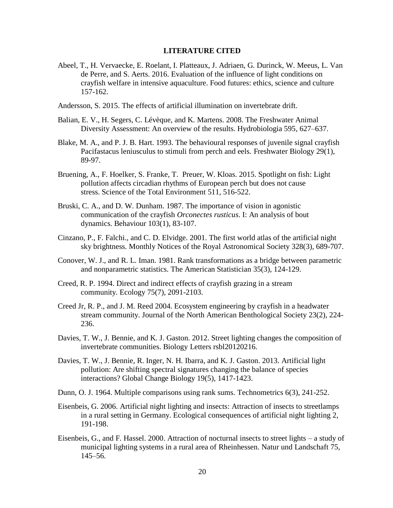## **LITERATURE CITED**

- Abeel, T., H. Vervaecke, E. Roelant, I. Platteaux, J. Adriaen, G. Durinck, W. Meeus, L. Van de Perre, and S. Aerts. 2016. Evaluation of the influence of light conditions on crayfish welfare in intensive aquaculture. Food futures: ethics, science and culture 157-162.
- Andersson, S. 2015. The effects of artificial illumination on invertebrate drift.
- Balian, E. V., H. Segers, C. Lévèque, and K. Martens. 2008. The Freshwater Animal Diversity Assessment: An overview of the results. Hydrobiologia 595, 627–637.
- Blake, M. A., and P. J. B. Hart. 1993. The behavioural responses of juvenile signal crayfish Pacifastacus leniusculus to stimuli from perch and eels. Freshwater Biology 29(1), 89-97.
- Bruening, A., F. Hoelker, S. Franke, T. Preuer, W. Kloas. 2015. Spotlight on fish: Light pollution affects circadian rhythms of European perch but does not cause stress. Science of the Total Environment 511, 516-522.
- Bruski, C. A., and D. W. Dunham. 1987. The importance of vision in agonistic communication of the crayfish *Orconectes rusticus*. I: An analysis of bout dynamics. Behaviour 103(1), 83-107.
- Cinzano, P., F. Falchi., and C. D. Elvidge. 2001. The first world atlas of the artificial night sky brightness. Monthly Notices of the Royal Astronomical Society 328(3), 689-707.
- Conover, W. J., and R. L. Iman. 1981. Rank transformations as a bridge between parametric and nonparametric statistics. The American Statistician 35(3), 124-129.
- Creed, R. P. 1994. Direct and indirect effects of crayfish grazing in a stream community. Ecology 75(7), 2091-2103.
- Creed Jr, R. P., and J. M. Reed 2004. Ecosystem engineering by crayfish in a headwater stream community. Journal of the North American Benthological Society 23(2), 224- 236.
- Davies, T. W., J. Bennie, and K. J. Gaston. 2012. Street lighting changes the composition of invertebrate communities. Biology Letters rsbl20120216.
- Davies, T. W., J. Bennie, R. Inger, N. H. Ibarra, and K. J. Gaston. 2013. Artificial light pollution: Are shifting spectral signatures changing the balance of species interactions? Global Change Biology 19(5), 1417-1423.
- Dunn, O. J. 1964. Multiple comparisons using rank sums. Technometrics 6(3), 241-252.
- Eisenbeis, G. 2006. Artificial night lighting and insects: Attraction of insects to streetlamps in a rural setting in Germany. Ecological consequences of artificial night lighting 2, 191-198.
- Eisenbeis, G., and F. Hassel. 2000. Attraction of nocturnal insects to street lights a study of municipal lighting systems in a rural area of Rheinhessen. Natur und Landschaft 75, 145–56.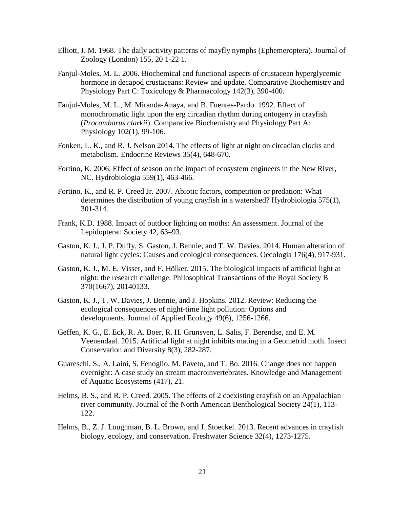- Elliott, J. M. 1968. The daily activity patterns of mayfly nymphs (Ephemeroptera). Journal of Zoology (London) 155, 20 1-22 1.
- Fanjul-Moles, M. L. 2006. Biochemical and functional aspects of crustacean hyperglycemic hormone in decapod crustaceans: Review and update. Comparative Biochemistry and Physiology Part C: Toxicology & Pharmacology 142(3), 390-400.
- Fanjul-Moles, M. L., M. Miranda-Anaya, and B. Fuentes-Pardo. 1992. Effect of monochromatic light upon the erg circadian rhythm during ontogeny in crayfish (*Procambarus clarkii*). Comparative Biochemistry and Physiology Part A: Physiology 102(1), 99-106.
- Fonken, L. K., and R. J. Nelson 2014. The effects of light at night on circadian clocks and metabolism. Endocrine Reviews 35(4), 648-670.
- Fortino, K. 2006. Effect of season on the impact of ecosystem engineers in the New River, NC. Hydrobiologia 559(1), 463-466.
- Fortino, K., and R. P. Creed Jr. 2007. Abiotic factors, competition or predation: What determines the distribution of young crayfish in a watershed? Hydrobiologia 575(1), 301-314.
- Frank, K.D. 1988. Impact of outdoor lighting on moths: An assessment. Journal of the Lepidopteran Society 42, 63–93.
- Gaston, K. J., J. P. Duffy, S. Gaston, J. Bennie, and T. W. Davies. 2014. Human alteration of natural light cycles: Causes and ecological consequences. Oecologia 176(4), 917-931.
- Gaston, K. J., M. E. Visser, and F. Hölker. 2015. The biological impacts of artificial light at night: the research challenge. Philosophical Transactions of the Royal Society B 370(1667), 20140133.
- Gaston, K. J., T. W. Davies, J. Bennie, and J. Hopkins. 2012. Review: Reducing the ecological consequences of night-time light pollution: Options and developments. Journal of Applied Ecology 49(6), 1256-1266.
- Geffen, K. G., E. Eck, R. A. Boer, R. H. Grunsven, L. Salis, F. Berendse, and E. M. Veenendaal. 2015. Artificial light at night inhibits mating in a Geometrid moth. Insect Conservation and Diversity 8(3), 282-287.
- Guareschi, S., A. Laini, S. Fenoglio, M. Paveto, and T. Bo. 2016. Change does not happen overnight: A case study on stream macroinvertebrates. Knowledge and Management of Aquatic Ecosystems (417), 21.
- Helms, B. S., and R. P. Creed. 2005. The effects of 2 coexisting crayfish on an Appalachian river community. Journal of the North American Benthological Society 24(1), 113- 122.
- Helms, B., Z. J. Loughman, B. L. Brown, and J. Stoeckel. 2013. Recent advances in crayfish biology, ecology, and conservation. Freshwater Science 32(4), 1273-1275.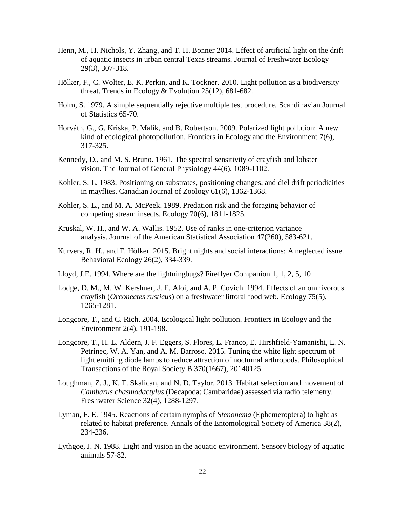- Henn, M., H. Nichols, Y. Zhang, and T. H. Bonner 2014. Effect of artificial light on the drift of aquatic insects in urban central Texas streams. Journal of Freshwater Ecology 29(3), 307-318.
- Hölker, F., C. Wolter, E. K. Perkin, and K. Tockner. 2010. Light pollution as a biodiversity threat. Trends in Ecology & Evolution 25(12), 681-682.
- Holm, S. 1979. A simple sequentially rejective multiple test procedure. Scandinavian Journal of Statistics 65-70.
- Horváth, G., G. Kriska, P. Malik, and B. Robertson. 2009. Polarized light pollution: A new kind of ecological photopollution. Frontiers in Ecology and the Environment 7(6), 317-325.
- Kennedy, D., and M. S. Bruno. 1961. The spectral sensitivity of crayfish and lobster vision. The Journal of General Physiology 44(6), 1089-1102.
- Kohler, S. L. 1983. Positioning on substrates, positioning changes, and diel drift periodicities in mayflies. Canadian Journal of Zoology 61(6), 1362-1368.
- Kohler, S. L., and M. A. McPeek. 1989. Predation risk and the foraging behavior of competing stream insects. Ecology 70(6), 1811-1825.
- Kruskal, W. H., and W. A. Wallis. 1952. Use of ranks in one-criterion variance analysis. Journal of the American Statistical Association 47(260), 583-621.
- Kurvers, R. H., and F. Hölker. 2015. Bright nights and social interactions: A neglected issue. Behavioral Ecology 26(2), 334-339.
- Lloyd, J.E. 1994. Where are the lightningbugs? Fireflyer Companion 1, 1, 2, 5, 10
- Lodge, D. M., M. W. Kershner, J. E. Aloi, and A. P. Covich. 1994. Effects of an omnivorous crayfish (*Orconectes rusticus*) on a freshwater littoral food web. Ecology 75(5), 1265-1281.
- Longcore, T., and C. Rich. 2004. Ecological light pollution. Frontiers in Ecology and the Environment 2(4), 191-198.
- Longcore, T., H. L. Aldern, J. F. Eggers, S. Flores, L. Franco, E. Hirshfield-Yamanishi, L. N. Petrinec, W. A. Yan, and A. M. Barroso. 2015. Tuning the white light spectrum of light emitting diode lamps to reduce attraction of nocturnal arthropods. Philosophical Transactions of the Royal Society B 370(1667), 20140125.
- Loughman, Z. J., K. T. Skalican, and N. D. Taylor. 2013. Habitat selection and movement of *Cambarus chasmodactylus* (Decapoda: Cambaridae) assessed via radio telemetry. Freshwater Science 32(4), 1288-1297.
- Lyman, F. E. 1945. Reactions of certain nymphs of *Stenonema* (Ephemeroptera) to light as related to habitat preference. Annals of the Entomological Society of America 38(2), 234-236.
- Lythgoe, J. N. 1988. Light and vision in the aquatic environment. Sensory biology of aquatic animals 57-82.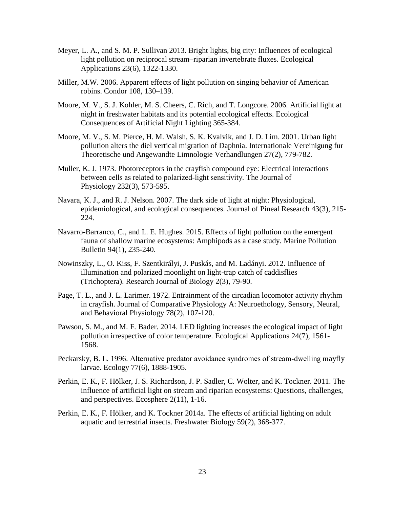- Meyer, L. A., and S. M. P. Sullivan 2013. Bright lights, big city: Influences of ecological light pollution on reciprocal stream–riparian invertebrate fluxes. Ecological Applications 23(6), 1322-1330.
- Miller, M.W. 2006. Apparent effects of light pollution on singing behavior of American robins. Condor 108, 130–139.
- Moore, M. V., S. J. Kohler, M. S. Cheers, C. Rich, and T. Longcore. 2006. Artificial light at night in freshwater habitats and its potential ecological effects. Ecological Consequences of Artificial Night Lighting 365-384.
- Moore, M. V., S. M. Pierce, H. M. Walsh, S. K. Kvalvik, and J. D. Lim. 2001. Urban light pollution alters the diel vertical migration of Daphnia. Internationale Vereinigung fur Theoretische und Angewandte Limnologie Verhandlungen 27(2), 779-782.
- Muller, K. J. 1973. Photoreceptors in the crayfish compound eye: Electrical interactions between cells as related to polarized‐light sensitivity. The Journal of Physiology 232(3), 573-595.
- Navara, K. J., and R. J. Nelson. 2007. The dark side of light at night: Physiological, epidemiological, and ecological consequences. Journal of Pineal Research 43(3), 215- 224.
- Navarro-Barranco, C., and L. E. Hughes. 2015. Effects of light pollution on the emergent fauna of shallow marine ecosystems: Amphipods as a case study. Marine Pollution Bulletin 94(1), 235-240.
- Nowinszky, L., O. Kiss, F. Szentkirályi, J. Puskás, and M. Ladányi. 2012. Influence of illumination and polarized moonlight on light-trap catch of caddisflies (Trichoptera). Research Journal of Biology 2(3), 79-90.
- Page, T. L., and J. L. Larimer. 1972. Entrainment of the circadian locomotor activity rhythm in crayfish. Journal of Comparative Physiology A: Neuroethology, Sensory, Neural, and Behavioral Physiology 78(2), 107-120.
- Pawson, S. M., and M. F. Bader. 2014. LED lighting increases the ecological impact of light pollution irrespective of color temperature. Ecological Applications 24(7), 1561- 1568.
- Peckarsky, B. L. 1996. Alternative predator avoidance syndromes of stream‐dwelling mayfly larvae. Ecology 77(6), 1888-1905.
- Perkin, E. K., F. Hölker, J. S. Richardson, J. P. Sadler, C. Wolter, and K. Tockner. 2011. The influence of artificial light on stream and riparian ecosystems: Questions, challenges, and perspectives. Ecosphere 2(11), 1-16.
- Perkin, E. K., F. Hölker, and K. Tockner 2014a. The effects of artificial lighting on adult aquatic and terrestrial insects. Freshwater Biology 59(2), 368-377.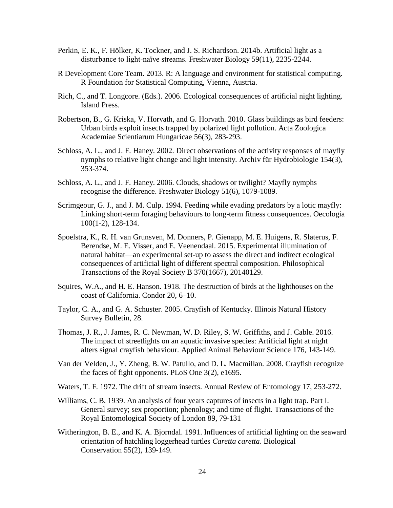- Perkin, E. K., F. Hölker, K. Tockner, and J. S. Richardson. 2014b. Artificial light as a disturbance to light-naïve streams. Freshwater Biology 59(11), 2235-2244.
- R Development Core Team. 2013. R: A language and environment for statistical computing. R Foundation for Statistical Computing, Vienna, Austria.
- Rich, C., and T. Longcore. (Eds.). 2006. Ecological consequences of artificial night lighting. Island Press.
- Robertson, B., G. Kriska, V. Horvath, and G. Horvath. 2010. Glass buildings as bird feeders: Urban birds exploit insects trapped by polarized light pollution. Acta Zoologica Academiae Scientiarum Hungaricae 56(3), 283-293.
- Schloss, A. L., and J. F. Haney. 2002. Direct observations of the activity responses of mayfly nymphs to relative light change and light intensity. Archiv für Hydrobiologie 154(3), 353-374.
- Schloss, A. L., and J. F. Haney. 2006. Clouds, shadows or twilight? Mayfly nymphs recognise the difference. Freshwater Biology 51(6), 1079-1089.
- Scrimgeour, G. J., and J. M. Culp. 1994. Feeding while evading predators by a lotic mayfly: Linking short-term foraging behaviours to long-term fitness consequences. Oecologia 100(1-2), 128-134.
- Spoelstra, K., R. H. van Grunsven, M. Donners, P. Gienapp, M. E. Huigens, R. Slaterus, F. Berendse, M. E. Visser, and E. Veenendaal. 2015. Experimental illumination of natural habitat—an experimental set-up to assess the direct and indirect ecological consequences of artificial light of different spectral composition. Philosophical Transactions of the Royal Society B 370(1667), 20140129.
- Squires, W.A., and H. E. Hanson. 1918. The destruction of birds at the lighthouses on the coast of California. Condor 20, 6–10.
- Taylor, C. A., and G. A. Schuster. 2005. Crayfish of Kentucky. Illinois Natural History Survey Bulletin, 28.
- Thomas, J. R., J. James, R. C. Newman, W. D. Riley, S. W. Griffiths, and J. Cable. 2016. The impact of streetlights on an aquatic invasive species: Artificial light at night alters signal crayfish behaviour. Applied Animal Behaviour Science 176, 143-149.
- Van der Velden, J., Y. Zheng, B. W. Patullo, and D. L. Macmillan. 2008. Crayfish recognize the faces of fight opponents. PLoS One 3(2), e1695.
- Waters, T. F. 1972. The drift of stream insects. Annual Review of Entomology 17, 253-272.
- Williams, C. B. 1939. An analysis of four years captures of insects in a light trap. Part I. General survey; sex proportion; phenology; and time of flight. Transactions of the Royal Entomological Society of London 89, 79-131
- Witherington, B. E., and K. A. Bjorndal. 1991. Influences of artificial lighting on the seaward orientation of hatchling loggerhead turtles *Caretta caretta*. Biological Conservation 55(2), 139-149.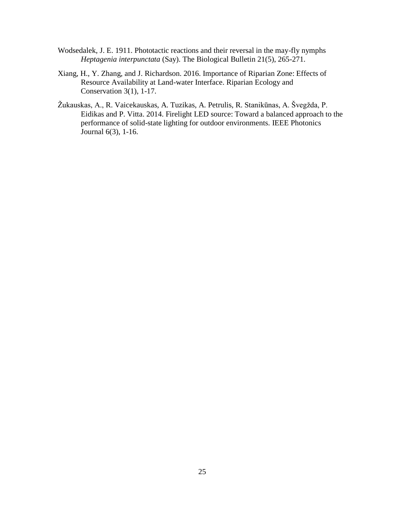- Wodsedalek, J. E. 1911. Phototactic reactions and their reversal in the may-fly nymphs *Heptagenia interpunctata* (Say). The Biological Bulletin 21(5), 265-271.
- Xiang, H., Y. Zhang, and J. Richardson. 2016. Importance of Riparian Zone: Effects of Resource Availability at Land-water Interface. Riparian Ecology and Conservation  $3(1)$ ,  $1-17$ .
- Žukauskas, A., R. Vaicekauskas, A. Tuzikas, A. Petrulis, R. Stanikūnas, A. Švegžda, P. Eidikas and P. Vitta. 2014. Firelight LED source: Toward a balanced approach to the performance of solid-state lighting for outdoor environments. IEEE Photonics Journal 6(3), 1-16.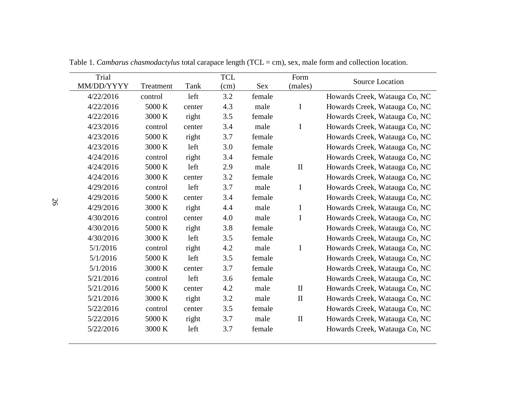| Trial      |           |        | <b>TCL</b> |            | Form         |                               |
|------------|-----------|--------|------------|------------|--------------|-------------------------------|
| MM/DD/YYYY | Treatment | Tank   | (cm)       | <b>Sex</b> | (males)      | Source Location               |
| 4/22/2016  | control   | left   | 3.2        | female     |              | Howards Creek, Watauga Co, NC |
| 4/22/2016  | 5000 K    | center | 4.3        | male       | $\bf{I}$     | Howards Creek, Watauga Co, NC |
| 4/22/2016  | 3000 K    | right  | 3.5        | female     |              | Howards Creek, Watauga Co, NC |
| 4/23/2016  | control   | center | 3.4        | male       | $\bf{I}$     | Howards Creek, Watauga Co, NC |
| 4/23/2016  | 5000 K    | right  | 3.7        | female     |              | Howards Creek, Watauga Co, NC |
| 4/23/2016  | 3000 K    | left   | 3.0        | female     |              | Howards Creek, Watauga Co, NC |
| 4/24/2016  | control   | right  | 3.4        | female     |              | Howards Creek, Watauga Co, NC |
| 4/24/2016  | 5000 K    | left   | 2.9        | male       | $\mathbf{I}$ | Howards Creek, Watauga Co, NC |
| 4/24/2016  | 3000 K    | center | 3.2        | female     |              | Howards Creek, Watauga Co, NC |
| 4/29/2016  | control   | left   | 3.7        | male       | I            | Howards Creek, Watauga Co, NC |
| 4/29/2016  | 5000 K    | center | 3.4        | female     |              | Howards Creek, Watauga Co, NC |
| 4/29/2016  | 3000 K    | right  | 4.4        | male       | I            | Howards Creek, Watauga Co, NC |
| 4/30/2016  | control   | center | 4.0        | male       | $\mathbf I$  | Howards Creek, Watauga Co, NC |
| 4/30/2016  | 5000 K    | right  | 3.8        | female     |              | Howards Creek, Watauga Co, NC |
| 4/30/2016  | 3000 K    | left   | 3.5        | female     |              | Howards Creek, Watauga Co, NC |
| 5/1/2016   | control   | right  | 4.2        | male       | $\bf{I}$     | Howards Creek, Watauga Co, NC |
| 5/1/2016   | 5000 K    | left   | 3.5        | female     |              | Howards Creek, Watauga Co, NC |
| 5/1/2016   | 3000 K    | center | 3.7        | female     |              | Howards Creek, Watauga Co, NC |
| 5/21/2016  | control   | left   | 3.6        | female     |              | Howards Creek, Watauga Co, NC |
| 5/21/2016  | 5000 K    | center | 4.2        | male       | $\mathbf{I}$ | Howards Creek, Watauga Co, NC |
| 5/21/2016  | 3000 K    | right  | 3.2        | male       | $\mathbf{I}$ | Howards Creek, Watauga Co, NC |
| 5/22/2016  | control   | center | 3.5        | female     |              | Howards Creek, Watauga Co, NC |
| 5/22/2016  | 5000 K    | right  | 3.7        | male       | $\mathbf{I}$ | Howards Creek, Watauga Co, NC |
| 5/22/2016  | 3000 K    | left   | 3.7        | female     |              | Howards Creek, Watauga Co, NC |

Table 1. *Cambarus chasmodactylus* total carapace length (TCL = cm), sex, male form and collection location.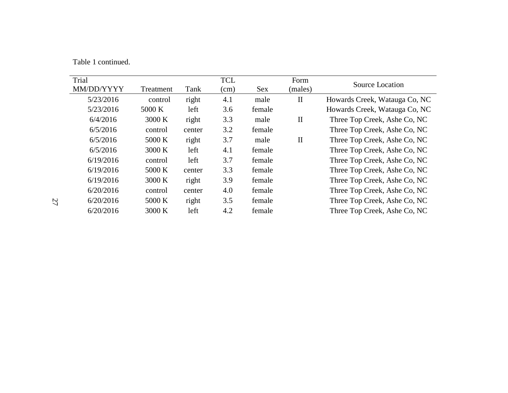Table 1 continued.

| Trial<br>MM/DD/YYYY | Treatment | Tank   | <b>TCL</b><br>(cm) | <b>Sex</b> | Form<br>(males)              | Source Location               |
|---------------------|-----------|--------|--------------------|------------|------------------------------|-------------------------------|
| 5/23/2016           | control   | right  | 4.1                | male       | $\mathbf{I}$                 | Howards Creek, Watauga Co, NC |
| 5/23/2016           | 5000 K    | left   | 3.6                | female     |                              | Howards Creek, Watauga Co, NC |
| 6/4/2016            | 3000 K    | right  | 3.3                | male       | $\mathbf{I}$                 | Three Top Creek, Ashe Co, NC  |
| 6/5/2016            | control   | center | 3.2                | female     |                              | Three Top Creek, Ashe Co, NC  |
| 6/5/2016            | 5000 K    | right  | 3.7                | male       | $\mathbf{I}$                 | Three Top Creek, Ashe Co, NC  |
| 6/5/2016            | 3000 K    | left   | 4.1                | female     | Three Top Creek, Ashe Co, NC |                               |
| 6/19/2016           | control   | left   | 3.7                | female     | Three Top Creek, Ashe Co, NC |                               |
| 6/19/2016           | 5000 K    | center | 3.3                | female     | Three Top Creek, Ashe Co, NC |                               |
| 6/19/2016           | 3000 K    | right  | 3.9                | female     | Three Top Creek, Ashe Co, NC |                               |
| 6/20/2016           | control   | center | 4.0                | female     | Three Top Creek, Ashe Co, NC |                               |
| 6/20/2016           | 5000 K    | right  | 3.5                | female     | Three Top Creek, Ashe Co, NC |                               |
| 6/20/2016           | 3000 K    | left   | 4.2                | female     |                              | Three Top Creek, Ashe Co, NC  |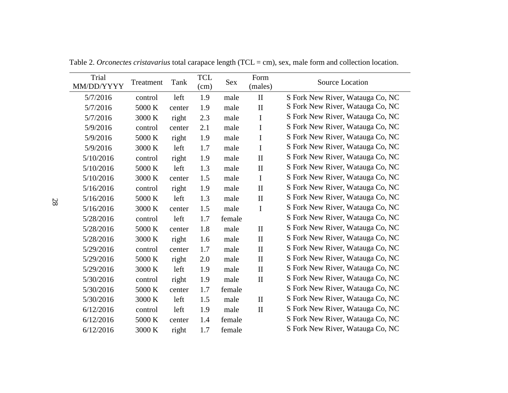| Trial<br>MM/DD/YYYY | Treatment | Tank   | <b>TCL</b><br>(cm) | Sex    | Form<br>(males) | Source Location                  |  |
|---------------------|-----------|--------|--------------------|--------|-----------------|----------------------------------|--|
| 5/7/2016            | control   | left   | 1.9                | male   | $\mathbf{I}$    | S Fork New River, Watauga Co, NC |  |
| 5/7/2016            | 5000 K    | center | 1.9                | male   | $\mathbf{I}$    | S Fork New River, Watauga Co, NC |  |
| 5/7/2016            | 3000 K    | right  | 2.3                | male   | $\mathbf I$     | S Fork New River, Watauga Co, NC |  |
| 5/9/2016            | control   | center | 2.1                | male   | $\mathbf I$     | S Fork New River, Watauga Co, NC |  |
| 5/9/2016            | 5000 K    | right  | 1.9                | male   | $\mathbf I$     | S Fork New River, Watauga Co, NC |  |
| 5/9/2016            | 3000 K    | left   | 1.7                | male   | $\mathbf I$     | S Fork New River, Watauga Co, NC |  |
| 5/10/2016           | control   | right  | 1.9                | male   | $\mathbf{I}$    | S Fork New River, Watauga Co, NC |  |
| 5/10/2016           | 5000 K    | left   | 1.3                | male   | $\mathbf{I}$    | S Fork New River, Watauga Co, NC |  |
| 5/10/2016           | 3000 K    | center | 1.5                | male   | $\mathbf I$     | S Fork New River, Watauga Co, NC |  |
| 5/16/2016           | control   | right  | 1.9                | male   | $\mathbf{I}$    | S Fork New River, Watauga Co, NC |  |
| 5/16/2016           | 5000 K    | left   | 1.3                | male   | $\mathbf{I}$    | S Fork New River, Watauga Co, NC |  |
| 5/16/2016           | 3000 K    | center | 1.5                | male   | $\mathbf I$     | S Fork New River, Watauga Co, NC |  |
| 5/28/2016           | control   | left   | 1.7                | female |                 | S Fork New River, Watauga Co, NC |  |
| 5/28/2016           | 5000 K    | center | 1.8                | male   | $\mathbf{I}$    | S Fork New River, Watauga Co, NC |  |
| 5/28/2016           | 3000 K    | right  | 1.6                | male   | $\mathbf{I}$    | S Fork New River, Watauga Co, NC |  |
| 5/29/2016           | control   | center | 1.7                | male   | $\mathbf{I}$    | S Fork New River, Watauga Co, NC |  |
| 5/29/2016           | 5000 K    | right  | 2.0                | male   | $\mathbf{I}$    | S Fork New River, Watauga Co, NC |  |
| 5/29/2016           | 3000 K    | left   | 1.9                | male   | $\mathbf{I}$    | S Fork New River, Watauga Co, NC |  |
| 5/30/2016           | control   | right  | 1.9                | male   | $\mathbf{I}$    | S Fork New River, Watauga Co, NC |  |
| 5/30/2016           | 5000 K    | center | 1.7                | female |                 | S Fork New River, Watauga Co, NC |  |
| 5/30/2016           | 3000 K    | left   | 1.5                | male   | $\mathbf{I}$    | S Fork New River, Watauga Co, NC |  |
| 6/12/2016           | control   | left   | 1.9                | male   | $\mathbf{I}$    | S Fork New River, Watauga Co, NC |  |
| 6/12/2016           | 5000 K    | center | 1.4                | female |                 | S Fork New River, Watauga Co, NC |  |
| 6/12/2016           | 3000 K    | right  | 1.7                | female |                 | S Fork New River, Watauga Co, NC |  |

Table 2. *Orconectes cristavarius* total carapace length (TCL = cm), sex, male form and collection location.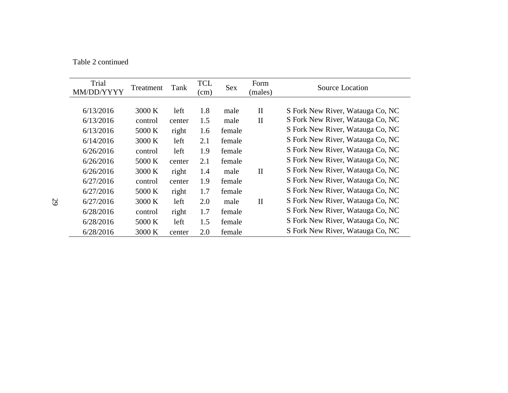Table 2 continued

| Trial<br>MM/DD/YYYY | Treatment | Tank   | <b>TCL</b><br>(cm) | <b>Sex</b> | Form<br>(males) | Source Location                  |  |
|---------------------|-----------|--------|--------------------|------------|-----------------|----------------------------------|--|
|                     |           |        |                    |            |                 |                                  |  |
| 6/13/2016           | 3000 K    | left   | 1.8                | male       | $\mathbf{I}$    | S Fork New River, Watauga Co, NC |  |
| 6/13/2016           | control   | center | 1.5                | male       | $\mathbf{I}$    | S Fork New River, Watauga Co, NC |  |
| 6/13/2016           | 5000 K    | right  | 1.6                | female     |                 | S Fork New River, Watauga Co, NC |  |
| 6/14/2016           | 3000 K    | left   | 2.1                | female     |                 | S Fork New River, Watauga Co, NC |  |
| 6/26/2016           | control   | left   | 1.9                | female     |                 | S Fork New River, Watauga Co, NC |  |
| 6/26/2016           | 5000 K    | center | 2.1                | female     |                 | S Fork New River, Watauga Co, NC |  |
| 6/26/2016           | 3000 K    | right  | 1.4                | male       | $\mathbf{I}$    | S Fork New River, Watauga Co, NC |  |
| 6/27/2016           | control   | center | 1.9                | female     |                 | S Fork New River, Watauga Co, NC |  |
| 6/27/2016           | 5000 K    | right  | 1.7                | female     |                 | S Fork New River, Watauga Co, NC |  |
| 6/27/2016           | 3000 K    |        | 2.0                | male       | $\mathbf{I}$    | S Fork New River, Watauga Co, NC |  |
|                     |           | left   |                    |            |                 |                                  |  |
| 6/28/2016           | control   | right  | 1.7                | female     |                 | S Fork New River, Watauga Co, NC |  |
| 6/28/2016           | 5000 K    | left   | 1.5                | female     |                 | S Fork New River, Watauga Co, NC |  |
| 6/28/2016           | 3000 K    | center | 2.0                | female     |                 | S Fork New River, Watauga Co, NC |  |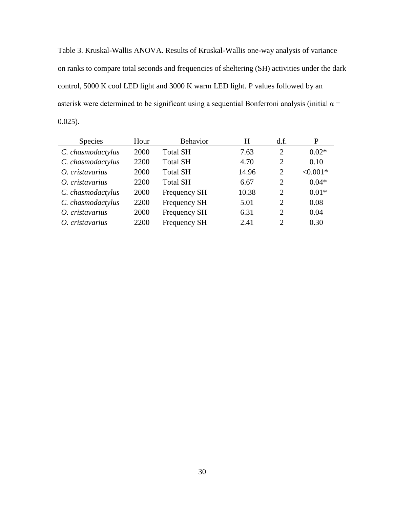Table 3. Kruskal-Wallis ANOVA. Results of Kruskal-Wallis one-way analysis of variance on ranks to compare total seconds and frequencies of sheltering (SH) activities under the dark control, 5000 K cool LED light and 3000 K warm LED light. P values followed by an asterisk were determined to be significant using a sequential Bonferroni analysis (initial  $\alpha$  = 0.025).

| <b>Species</b>    | Hour | <b>Behavior</b>     | H     | df.            | P          |
|-------------------|------|---------------------|-------|----------------|------------|
| C. chasmodactylus | 2000 | <b>Total SH</b>     | 7.63  | 2              | $0.02*$    |
| C. chasmodactylus | 2200 | <b>Total SH</b>     | 4.70  | $\overline{2}$ | 0.10       |
| O. cristavarius   | 2000 | <b>Total SH</b>     | 14.96 | $\overline{2}$ | $< 0.001*$ |
| O. cristavarius   | 2200 | <b>Total SH</b>     | 6.67  | $\overline{2}$ | $0.04*$    |
| C. chasmodactylus | 2000 | <b>Frequency SH</b> | 10.38 | $\overline{2}$ | $0.01*$    |
| C. chasmodactylus | 2200 | Frequency SH        | 5.01  | $\overline{2}$ | 0.08       |
| O. cristavarius   | 2000 | Frequency SH        | 6.31  | $\overline{2}$ | 0.04       |
| O. cristavarius   | 2200 | Frequency SH        | 2.41  | $\mathcal{D}$  | 0.30       |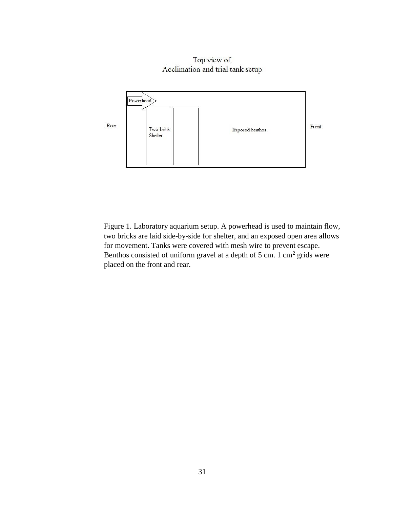Top view of Acclimation and trial tank setup



Figure 1. Laboratory aquarium setup. A powerhead is used to maintain flow, two bricks are laid side-by-side for shelter, and an exposed open area allows for movement. Tanks were covered with mesh wire to prevent escape. Benthos consisted of uniform gravel at a depth of 5 cm. 1 cm<sup>2</sup> grids were placed on the front and rear.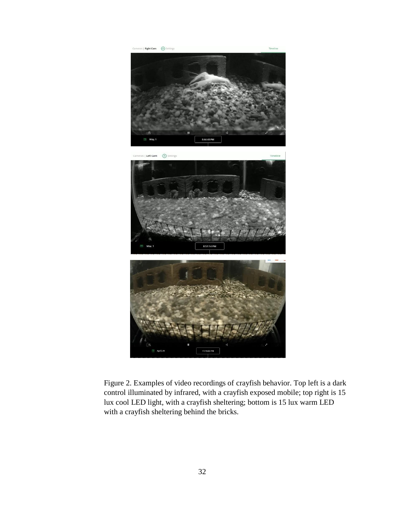





Figure 2. Examples of video recordings of crayfish behavior. Top left is a dark control illuminated by infrared, with a crayfish exposed mobile; top right is 15 lux cool LED light, with a crayfish sheltering; bottom is 15 lux warm LED with a crayfish sheltering behind the bricks.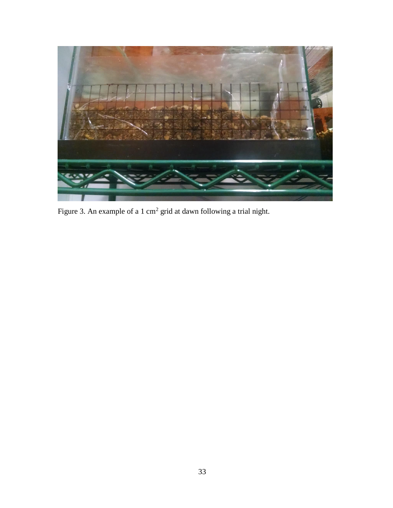

Figure 3. An example of a 1 cm<sup>2</sup> grid at dawn following a trial night.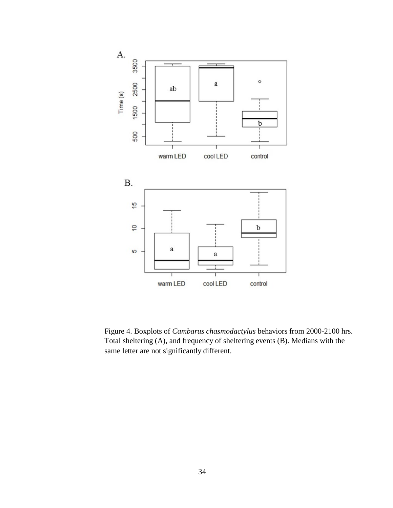

Figure 4. Boxplots of *Cambarus chasmodactylus* behaviors from 2000-2100 hrs. Total sheltering (A), and frequency of sheltering events (B). Medians with the same letter are not significantly different.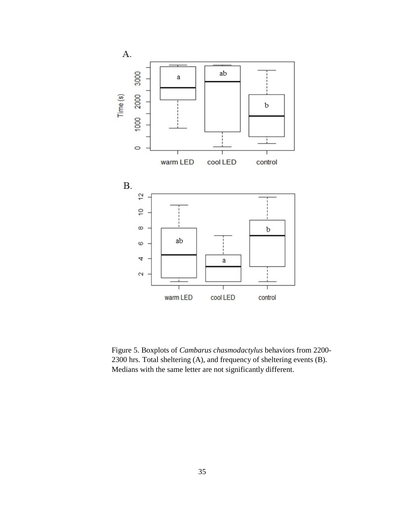

Figure 5. Boxplots of *Cambarus chasmodactylus* behaviors from 2200- 2300 hrs. Total sheltering (A), and frequency of sheltering events (B). Medians with the same letter are not significantly different.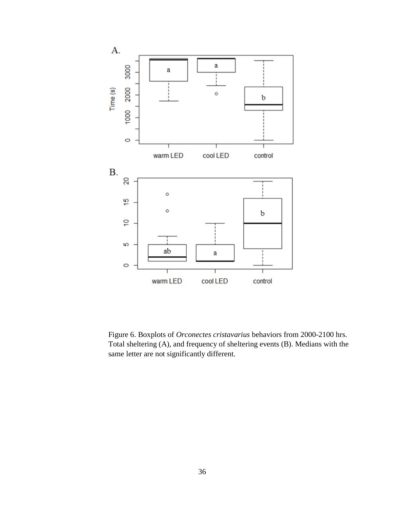

Figure 6. Boxplots of *Orconectes cristavarius* behaviors from 2000-2100 hrs. Total sheltering (A), and frequency of sheltering events (B). Medians with the same letter are not significantly different.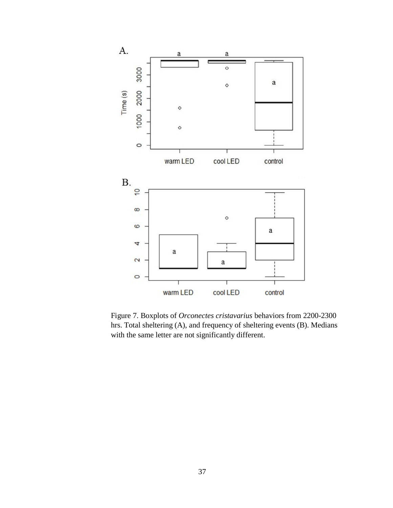

Figure 7. Boxplots of *Orconectes cristavarius* behaviors from 2200-2300 hrs. Total sheltering (A), and frequency of sheltering events (B). Medians with the same letter are not significantly different.